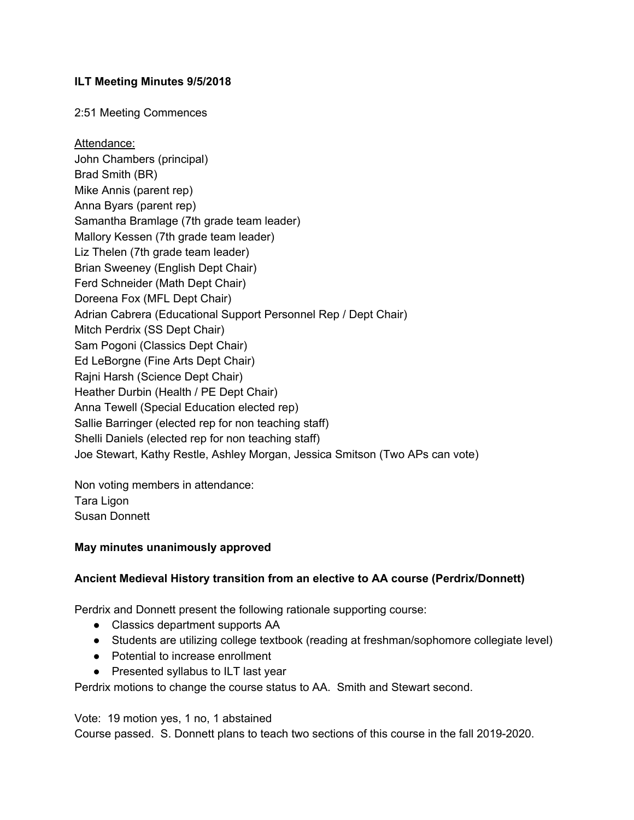#### **ILT Meeting Minutes 9/5/2018**

2:51 Meeting Commences

Attendance: John Chambers (principal) Brad Smith (BR) Mike Annis (parent rep) Anna Byars (parent rep) Samantha Bramlage (7th grade team leader) Mallory Kessen (7th grade team leader) Liz Thelen (7th grade team leader) Brian Sweeney (English Dept Chair) Ferd Schneider (Math Dept Chair) Doreena Fox (MFL Dept Chair) Adrian Cabrera (Educational Support Personnel Rep / Dept Chair) Mitch Perdrix (SS Dept Chair) Sam Pogoni (Classics Dept Chair) Ed LeBorgne (Fine Arts Dept Chair) Rajni Harsh (Science Dept Chair) Heather Durbin (Health / PE Dept Chair) Anna Tewell (Special Education elected rep) Sallie Barringer (elected rep for non teaching staff) Shelli Daniels (elected rep for non teaching staff) Joe Stewart, Kathy Restle, Ashley Morgan, Jessica Smitson (Two APs can vote)

Non voting members in attendance: Tara Ligon Susan Donnett

#### **May minutes unanimously approved**

#### **Ancient Medieval History transition from an elective to AA course (Perdrix/Donnett)**

Perdrix and Donnett present the following rationale supporting course:

- Classics department supports AA
- Students are utilizing college textbook (reading at freshman/sophomore collegiate level)
- Potential to increase enrollment
- Presented syllabus to ILT last year

Perdrix motions to change the course status to AA. Smith and Stewart second.

Vote: 19 motion yes, 1 no, 1 abstained

Course passed. S. Donnett plans to teach two sections of this course in the fall 2019-2020.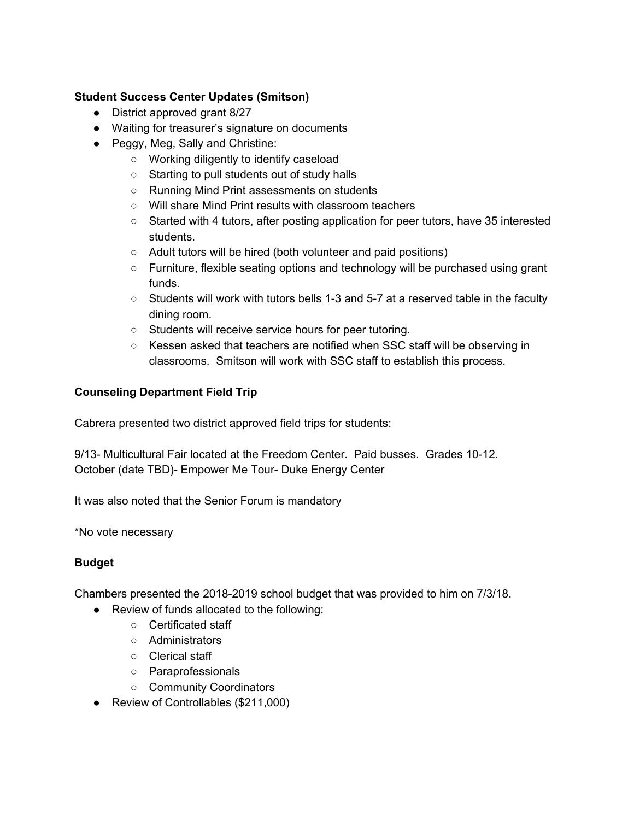## **Student Success Center Updates (Smitson)**

- District approved grant 8/27
- Waiting for treasurer's signature on documents
- Peggy, Meg, Sally and Christine:
	- Working diligently to identify caseload
	- Starting to pull students out of study halls
	- Running Mind Print assessments on students
	- Will share Mind Print results with classroom teachers
	- Started with 4 tutors, after posting application for peer tutors, have 35 interested students.
	- Adult tutors will be hired (both volunteer and paid positions)
	- Furniture, flexible seating options and technology will be purchased using grant funds.
	- Students will work with tutors bells 1-3 and 5-7 at a reserved table in the faculty dining room.
	- Students will receive service hours for peer tutoring.
	- Kessen asked that teachers are notified when SSC staff will be observing in classrooms. Smitson will work with SSC staff to establish this process.

# **Counseling Department Field Trip**

Cabrera presented two district approved field trips for students:

9/13- Multicultural Fair located at the Freedom Center. Paid busses. Grades 10-12. October (date TBD)- Empower Me Tour- Duke Energy Center

It was also noted that the Senior Forum is mandatory

\*No vote necessary

### **Budget**

Chambers presented the 2018-2019 school budget that was provided to him on 7/3/18.

- Review of funds allocated to the following:
	- Certificated staff
	- Administrators
	- Clerical staff
	- Paraprofessionals
	- Community Coordinators
- Review of Controllables (\$211,000)